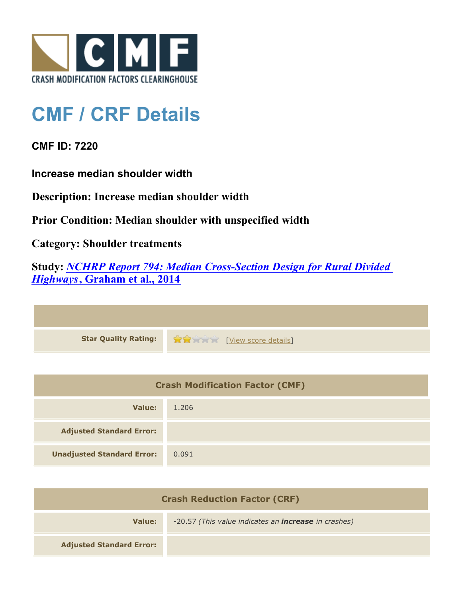

## **CMF / CRF Details**

**CMF ID: 7220**

**Increase median shoulder width**

**Description: Increase median shoulder width**

**Prior Condition: Median shoulder with unspecified width**

**Category: Shoulder treatments**

**Study:** *[NCHRP Report 794: Median Cross-Section Design for Rural Divided](http://www.cmfclearinghouse.org/study_detail.cfm?stid=420) [Highways](http://www.cmfclearinghouse.org/study_detail.cfm?stid=420)***[, Graham et al., 2014](http://www.cmfclearinghouse.org/study_detail.cfm?stid=420)**

| Star Quality Rating: 1999 [View score details] |
|------------------------------------------------|

| <b>Crash Modification Factor (CMF)</b> |       |
|----------------------------------------|-------|
| Value:                                 | 1.206 |
| <b>Adjusted Standard Error:</b>        |       |
| <b>Unadjusted Standard Error:</b>      | 0.091 |

| <b>Crash Reduction Factor (CRF)</b> |                                                             |
|-------------------------------------|-------------------------------------------------------------|
| Value:                              | -20.57 (This value indicates an <b>increase</b> in crashes) |
| <b>Adjusted Standard Error:</b>     |                                                             |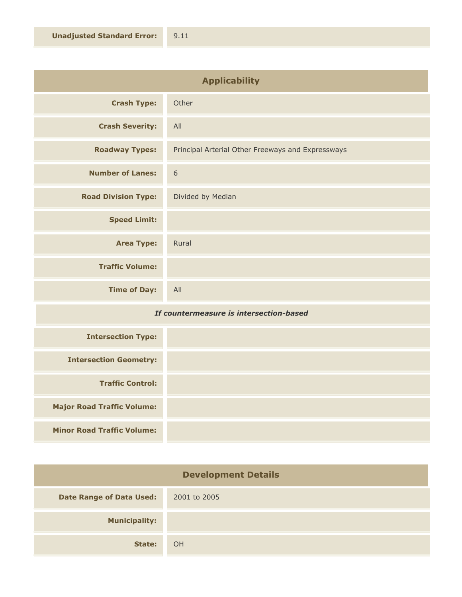| <b>Applicability</b>       |                                                   |
|----------------------------|---------------------------------------------------|
| <b>Crash Type:</b>         | Other                                             |
| <b>Crash Severity:</b>     | All                                               |
| <b>Roadway Types:</b>      | Principal Arterial Other Freeways and Expressways |
| <b>Number of Lanes:</b>    | 6                                                 |
| <b>Road Division Type:</b> | Divided by Median                                 |
| <b>Speed Limit:</b>        |                                                   |
| <b>Area Type:</b>          | Rural                                             |
| <b>Traffic Volume:</b>     |                                                   |
| <b>Time of Day:</b>        | All                                               |

## *If countermeasure is intersection-based*

| <b>Intersection Type:</b>         |  |
|-----------------------------------|--|
| <b>Intersection Geometry:</b>     |  |
| <b>Traffic Control:</b>           |  |
| <b>Major Road Traffic Volume:</b> |  |
| <b>Minor Road Traffic Volume:</b> |  |

| <b>Development Details</b>      |              |
|---------------------------------|--------------|
| <b>Date Range of Data Used:</b> | 2001 to 2005 |
| <b>Municipality:</b>            |              |
| State:                          | OH           |